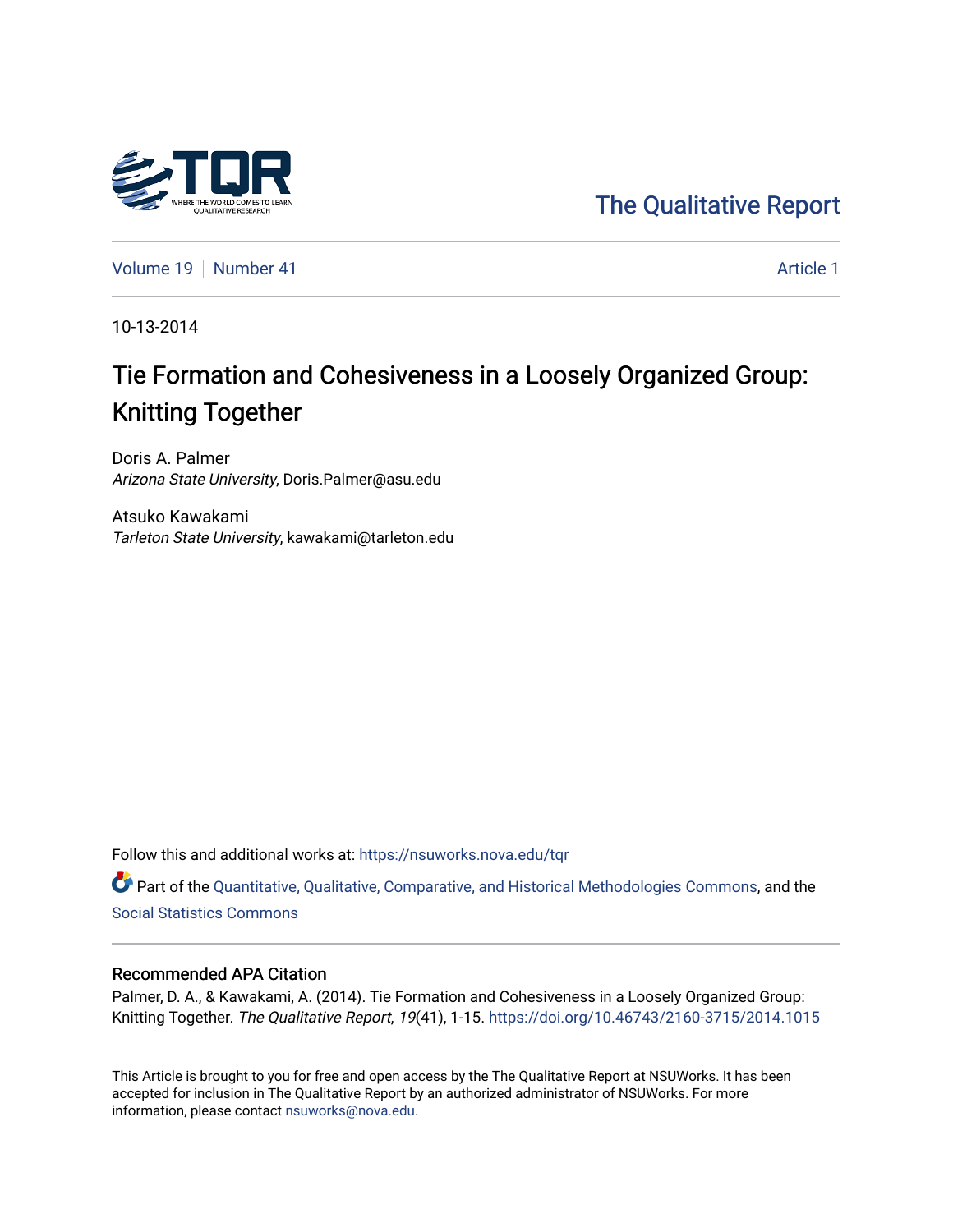

[The Qualitative Report](https://nsuworks.nova.edu/tqr) 

[Volume 19](https://nsuworks.nova.edu/tqr/vol19) [Number 41](https://nsuworks.nova.edu/tqr/vol19/iss41) Article 1

10-13-2014

# Tie Formation and Cohesiveness in a Loosely Organized Group: Knitting Together

Doris A. Palmer Arizona State University, Doris.Palmer@asu.edu

Atsuko Kawakami Tarleton State University, kawakami@tarleton.edu

Follow this and additional works at: [https://nsuworks.nova.edu/tqr](https://nsuworks.nova.edu/tqr?utm_source=nsuworks.nova.edu%2Ftqr%2Fvol19%2Fiss41%2F1&utm_medium=PDF&utm_campaign=PDFCoverPages) 

Part of the [Quantitative, Qualitative, Comparative, and Historical Methodologies Commons,](http://network.bepress.com/hgg/discipline/423?utm_source=nsuworks.nova.edu%2Ftqr%2Fvol19%2Fiss41%2F1&utm_medium=PDF&utm_campaign=PDFCoverPages) and the [Social Statistics Commons](http://network.bepress.com/hgg/discipline/1275?utm_source=nsuworks.nova.edu%2Ftqr%2Fvol19%2Fiss41%2F1&utm_medium=PDF&utm_campaign=PDFCoverPages) 

## Recommended APA Citation

Palmer, D. A., & Kawakami, A. (2014). Tie Formation and Cohesiveness in a Loosely Organized Group: Knitting Together. The Qualitative Report, 19(41), 1-15.<https://doi.org/10.46743/2160-3715/2014.1015>

This Article is brought to you for free and open access by the The Qualitative Report at NSUWorks. It has been accepted for inclusion in The Qualitative Report by an authorized administrator of NSUWorks. For more information, please contact [nsuworks@nova.edu.](mailto:nsuworks@nova.edu)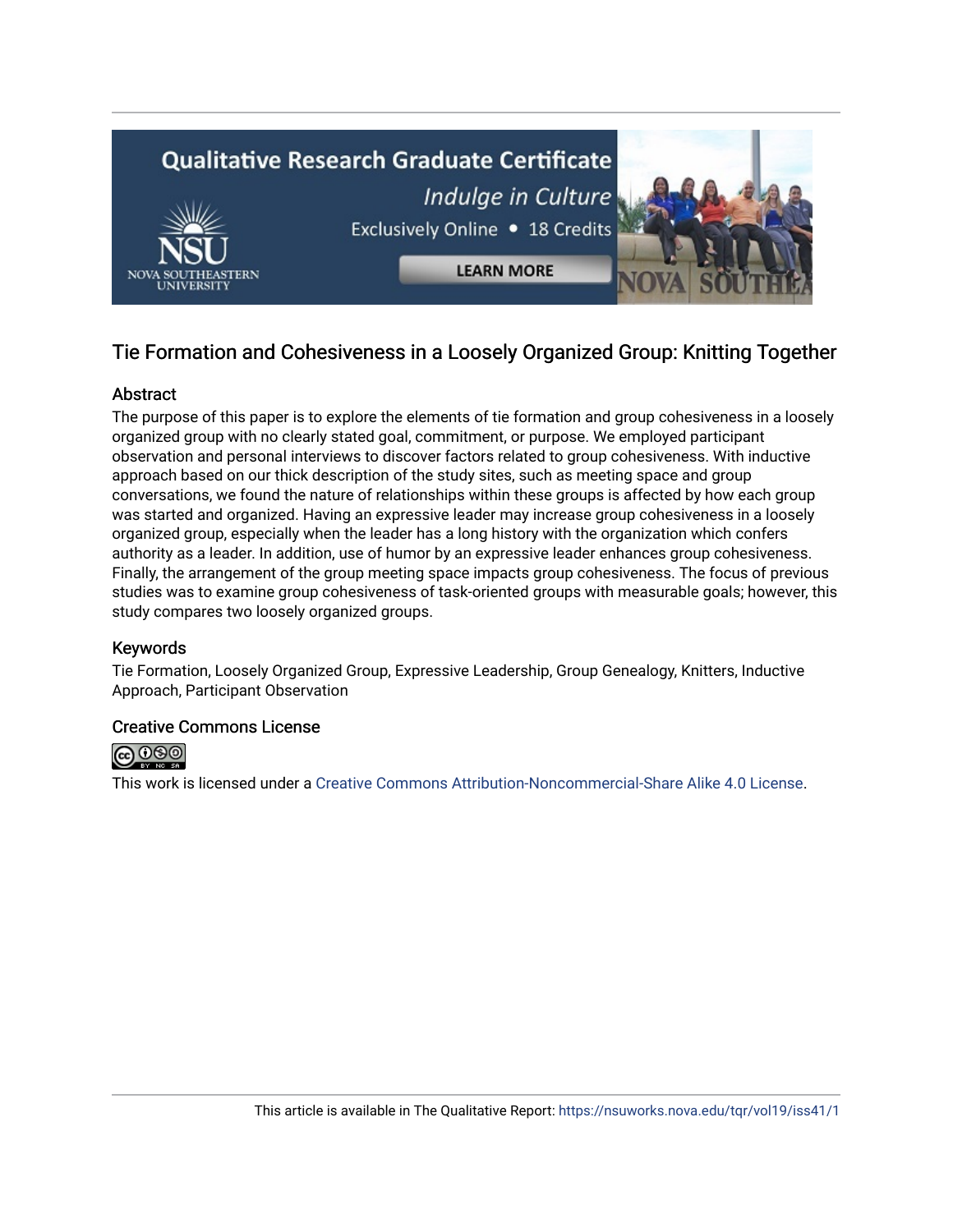

## Tie Formation and Cohesiveness in a Loosely Organized Group: Knitting Together

## **Abstract**

The purpose of this paper is to explore the elements of tie formation and group cohesiveness in a loosely organized group with no clearly stated goal, commitment, or purpose. We employed participant observation and personal interviews to discover factors related to group cohesiveness. With inductive approach based on our thick description of the study sites, such as meeting space and group conversations, we found the nature of relationships within these groups is affected by how each group was started and organized. Having an expressive leader may increase group cohesiveness in a loosely organized group, especially when the leader has a long history with the organization which confers authority as a leader. In addition, use of humor by an expressive leader enhances group cohesiveness. Finally, the arrangement of the group meeting space impacts group cohesiveness. The focus of previous studies was to examine group cohesiveness of task-oriented groups with measurable goals; however, this study compares two loosely organized groups.

## Keywords

Tie Formation, Loosely Organized Group, Expressive Leadership, Group Genealogy, Knitters, Inductive Approach, Participant Observation

## Creative Commons License



This work is licensed under a [Creative Commons Attribution-Noncommercial-Share Alike 4.0 License](https://creativecommons.org/licenses/by-nc-sa/4.0/).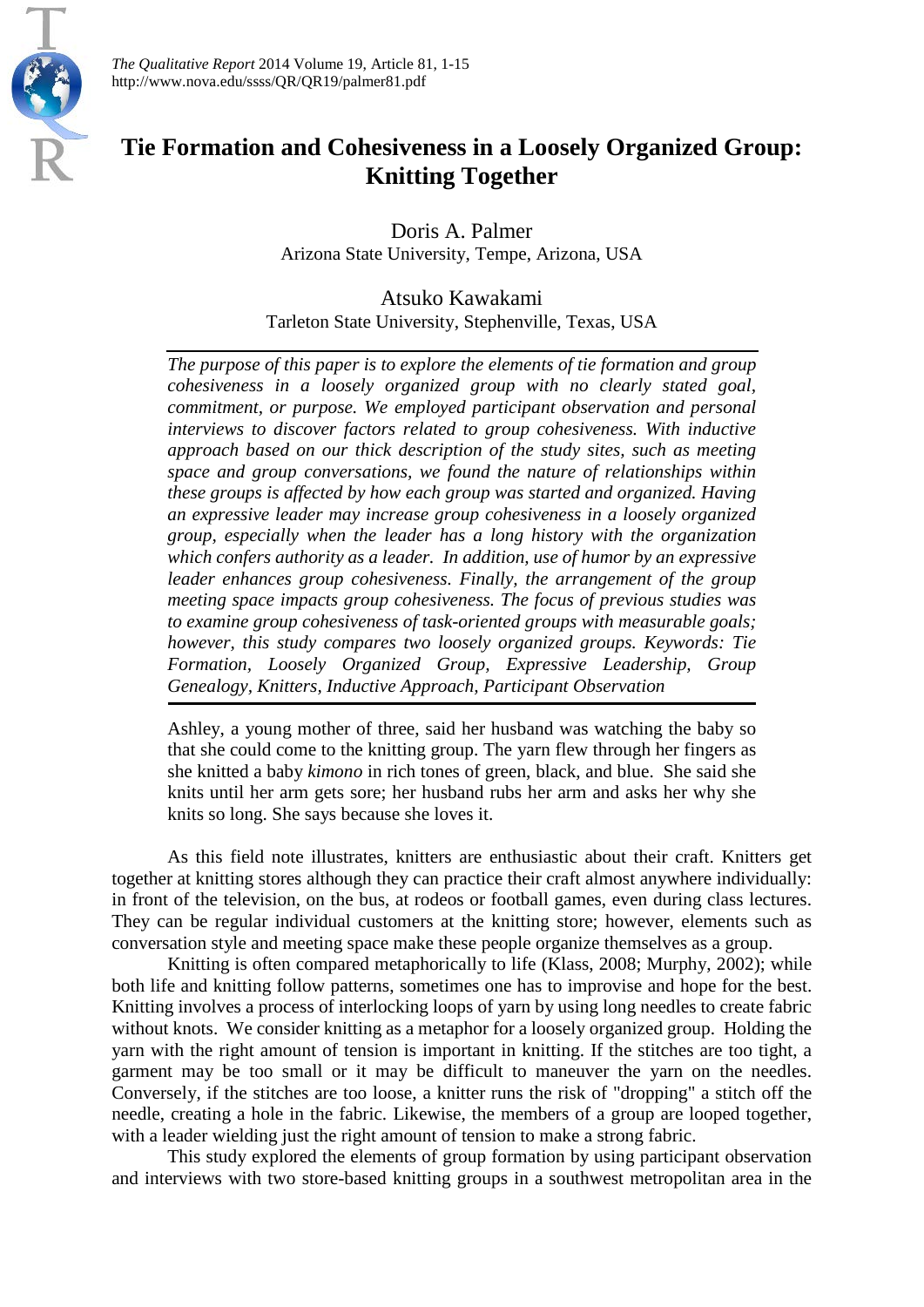

*The Qualitative Report* 2014 Volume 19, Article 81, 1-15 http://www.nova.edu/ssss/QR/QR19/palmer81.pdf

## **Tie Formation and Cohesiveness in a Loosely Organized Group: Knitting Together**

Doris A. Palmer Arizona State University, Tempe, Arizona, USA

Atsuko Kawakami Tarleton State University, Stephenville, Texas, USA

*The purpose of this paper is to explore the elements of tie formation and group cohesiveness in a loosely organized group with no clearly stated goal, commitment, or purpose. We employed participant observation and personal interviews to discover factors related to group cohesiveness. With inductive approach based on our thick description of the study sites, such as meeting space and group conversations, we found the nature of relationships within these groups is affected by how each group was started and organized. Having an expressive leader may increase group cohesiveness in a loosely organized group, especially when the leader has a long history with the organization which confers authority as a leader. In addition, use of humor by an expressive leader enhances group cohesiveness. Finally, the arrangement of the group meeting space impacts group cohesiveness. The focus of previous studies was to examine group cohesiveness of task-oriented groups with measurable goals; however, this study compares two loosely organized groups. Keywords: Tie Formation, Loosely Organized Group, Expressive Leadership, Group Genealogy, Knitters, Inductive Approach, Participant Observation*

Ashley, a young mother of three, said her husband was watching the baby so that she could come to the knitting group. The yarn flew through her fingers as she knitted a baby *kimono* in rich tones of green, black, and blue. She said she knits until her arm gets sore; her husband rubs her arm and asks her why she knits so long. She says because she loves it.

As this field note illustrates, knitters are enthusiastic about their craft. Knitters get together at knitting stores although they can practice their craft almost anywhere individually: in front of the television, on the bus, at rodeos or football games, even during class lectures. They can be regular individual customers at the knitting store; however, elements such as conversation style and meeting space make these people organize themselves as a group.

Knitting is often compared metaphorically to life (Klass, 2008; Murphy, 2002); while both life and knitting follow patterns, sometimes one has to improvise and hope for the best. Knitting involves a process of interlocking loops of yarn by using long needles to create fabric without knots. We consider knitting as a metaphor for a loosely organized group. Holding the yarn with the right amount of tension is important in knitting. If the stitches are too tight, a garment may be too small or it may be difficult to maneuver the yarn on the needles. Conversely, if the stitches are too loose, a knitter runs the risk of "dropping" a stitch off the needle, creating a hole in the fabric. Likewise, the members of a group are looped together, with a leader wielding just the right amount of tension to make a strong fabric.

This study explored the elements of group formation by using participant observation and interviews with two store-based knitting groups in a southwest metropolitan area in the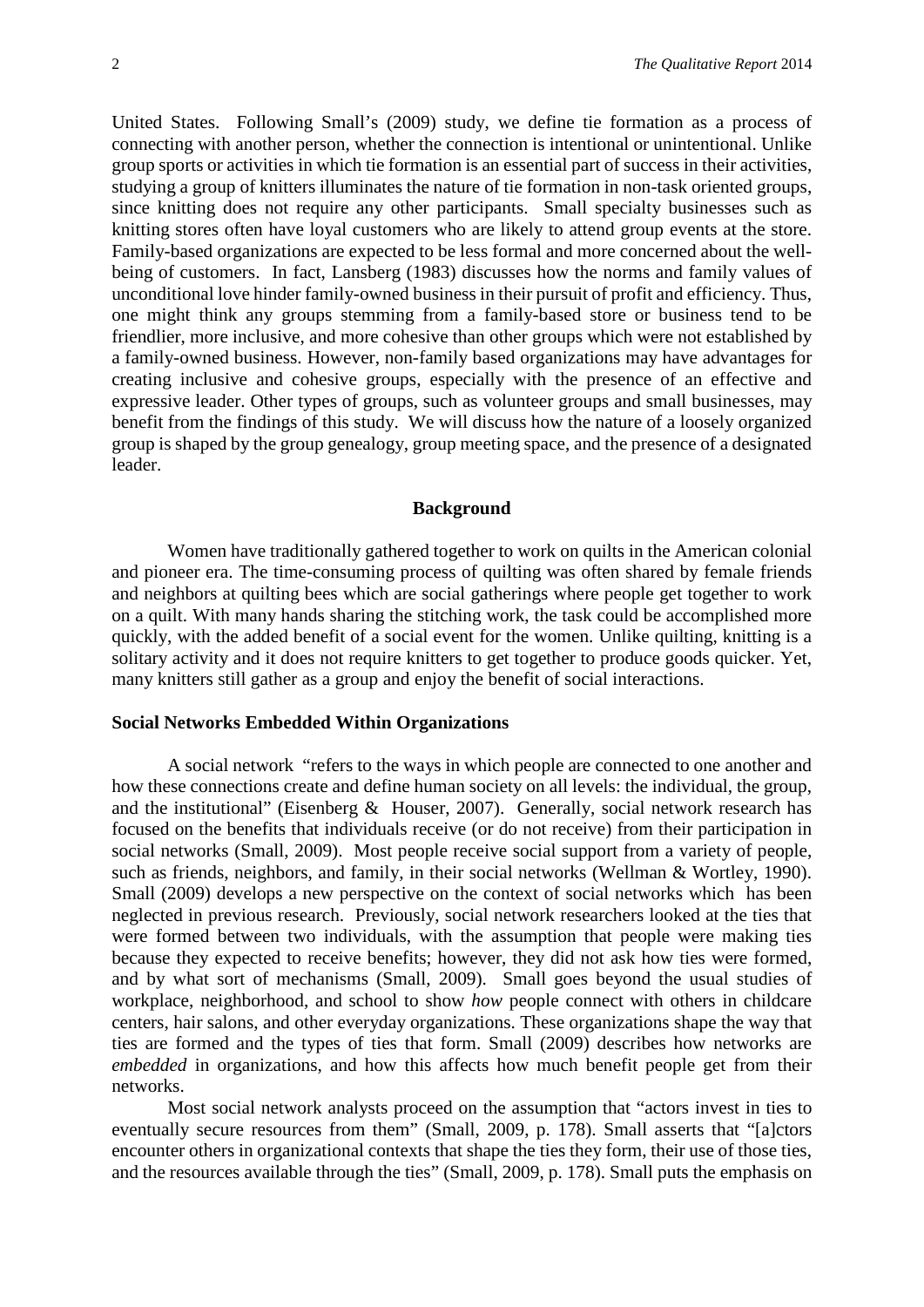United States. Following Small's (2009) study, we define tie formation as a process of connecting with another person, whether the connection is intentional or unintentional. Unlike group sports or activities in which tie formation is an essential part of success in their activities, studying a group of knitters illuminates the nature of tie formation in non-task oriented groups, since knitting does not require any other participants. Small specialty businesses such as knitting stores often have loyal customers who are likely to attend group events at the store. Family-based organizations are expected to be less formal and more concerned about the wellbeing of customers. In fact, Lansberg (1983) discusses how the norms and family values of unconditional love hinder family-owned business in their pursuit of profit and efficiency. Thus, one might think any groups stemming from a family-based store or business tend to be friendlier, more inclusive, and more cohesive than other groups which were not established by a family-owned business. However, non-family based organizations may have advantages for creating inclusive and cohesive groups, especially with the presence of an effective and expressive leader. Other types of groups, such as volunteer groups and small businesses, may benefit from the findings of this study. We will discuss how the nature of a loosely organized group is shaped by the group genealogy, group meeting space, and the presence of a designated leader.

## **Background**

Women have traditionally gathered together to work on quilts in the American colonial and pioneer era. The time-consuming process of quilting was often shared by female friends and neighbors at quilting bees which are social gatherings where people get together to work on a quilt. With many hands sharing the stitching work, the task could be accomplished more quickly, with the added benefit of a social event for the women. Unlike quilting, knitting is a solitary activity and it does not require knitters to get together to produce goods quicker. Yet, many knitters still gather as a group and enjoy the benefit of social interactions.

## **Social Networks Embedded Within Organizations**

A social network "refers to the ways in which people are connected to one another and how these connections create and define human society on all levels: the individual, the group, and the institutional" (Eisenberg & Houser, 2007). Generally, social network research has focused on the benefits that individuals receive (or do not receive) from their participation in social networks (Small, 2009). Most people receive social support from a variety of people, such as friends, neighbors, and family, in their social networks (Wellman & Wortley, 1990). Small (2009) develops a new perspective on the context of social networks which has been neglected in previous research. Previously, social network researchers looked at the ties that were formed between two individuals, with the assumption that people were making ties because they expected to receive benefits; however, they did not ask how ties were formed, and by what sort of mechanisms (Small, 2009). Small goes beyond the usual studies of workplace, neighborhood, and school to show *how* people connect with others in childcare centers, hair salons, and other everyday organizations. These organizations shape the way that ties are formed and the types of ties that form. Small (2009) describes how networks are *embedded* in organizations, and how this affects how much benefit people get from their networks.

Most social network analysts proceed on the assumption that "actors invest in ties to eventually secure resources from them" (Small, 2009, p. 178). Small asserts that "[a]ctors encounter others in organizational contexts that shape the ties they form, their use of those ties, and the resources available through the ties" (Small, 2009, p. 178). Small puts the emphasis on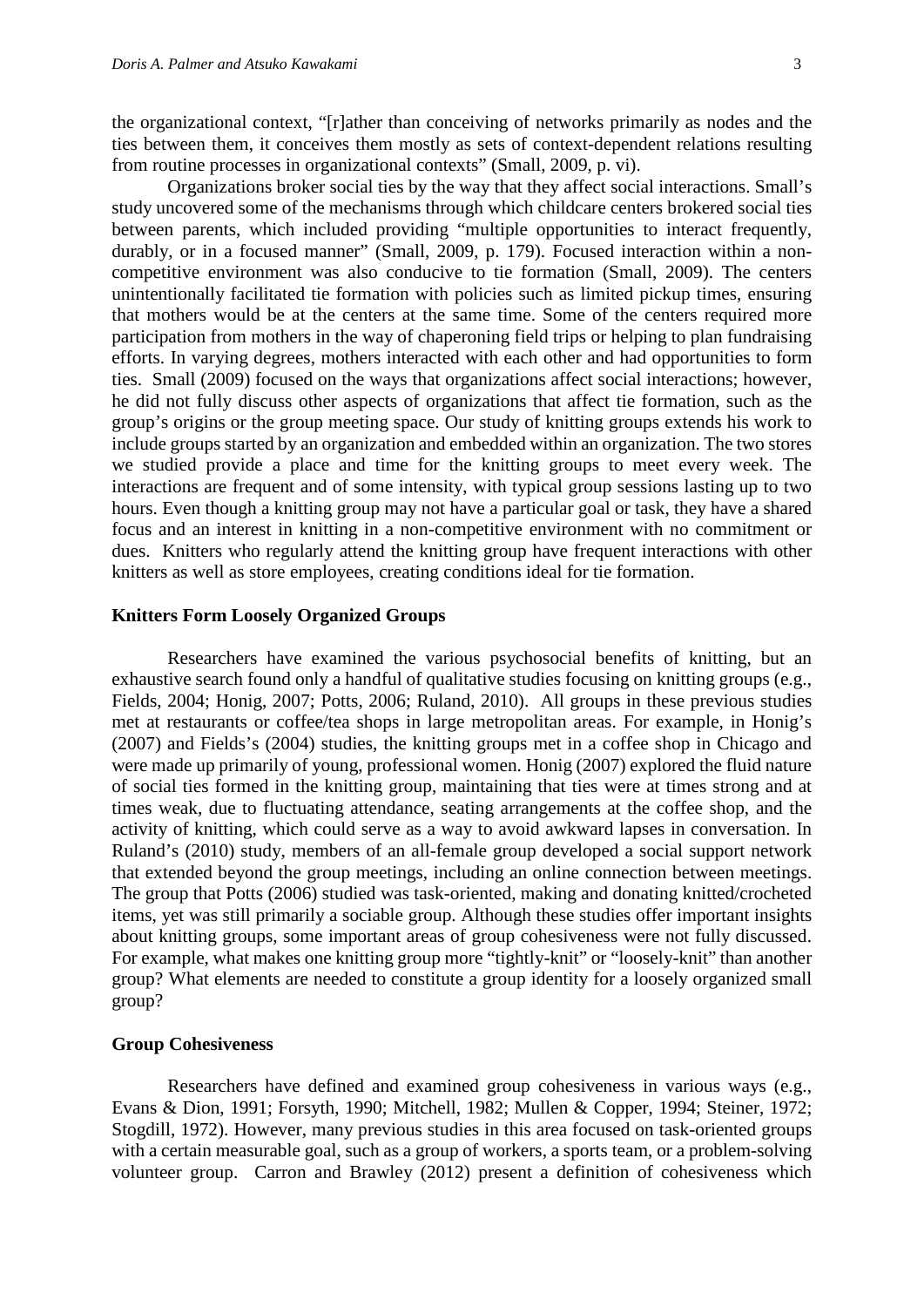the organizational context, "[r]ather than conceiving of networks primarily as nodes and the ties between them, it conceives them mostly as sets of context-dependent relations resulting from routine processes in organizational contexts" (Small, 2009, p. vi).

Organizations broker social ties by the way that they affect social interactions. Small's study uncovered some of the mechanisms through which childcare centers brokered social ties between parents, which included providing "multiple opportunities to interact frequently, durably, or in a focused manner" (Small, 2009, p. 179). Focused interaction within a noncompetitive environment was also conducive to tie formation (Small, 2009). The centers unintentionally facilitated tie formation with policies such as limited pickup times, ensuring that mothers would be at the centers at the same time. Some of the centers required more participation from mothers in the way of chaperoning field trips or helping to plan fundraising efforts. In varying degrees, mothers interacted with each other and had opportunities to form ties. Small (2009) focused on the ways that organizations affect social interactions; however, he did not fully discuss other aspects of organizations that affect tie formation, such as the group's origins or the group meeting space. Our study of knitting groups extends his work to include groups started by an organization and embedded within an organization. The two stores we studied provide a place and time for the knitting groups to meet every week. The interactions are frequent and of some intensity, with typical group sessions lasting up to two hours. Even though a knitting group may not have a particular goal or task, they have a shared focus and an interest in knitting in a non-competitive environment with no commitment or dues. Knitters who regularly attend the knitting group have frequent interactions with other knitters as well as store employees, creating conditions ideal for tie formation.

#### **Knitters Form Loosely Organized Groups**

Researchers have examined the various psychosocial benefits of knitting, but an exhaustive search found only a handful of qualitative studies focusing on knitting groups (e.g., Fields, 2004; Honig, 2007; Potts, 2006; Ruland, 2010). All groups in these previous studies met at restaurants or coffee/tea shops in large metropolitan areas. For example, in Honig's (2007) and Fields's (2004) studies, the knitting groups met in a coffee shop in Chicago and were made up primarily of young, professional women. Honig (2007) explored the fluid nature of social ties formed in the knitting group, maintaining that ties were at times strong and at times weak, due to fluctuating attendance, seating arrangements at the coffee shop, and the activity of knitting, which could serve as a way to avoid awkward lapses in conversation. In Ruland's (2010) study, members of an all-female group developed a social support network that extended beyond the group meetings, including an online connection between meetings. The group that Potts (2006) studied was task-oriented, making and donating knitted/crocheted items, yet was still primarily a sociable group. Although these studies offer important insights about knitting groups, some important areas of group cohesiveness were not fully discussed. For example, what makes one knitting group more "tightly-knit" or "loosely-knit" than another group? What elements are needed to constitute a group identity for a loosely organized small group?

### **Group Cohesiveness**

Researchers have defined and examined group cohesiveness in various ways (e.g., Evans & Dion, 1991; Forsyth, 1990; Mitchell, 1982; Mullen & Copper, 1994; Steiner, 1972; Stogdill, 1972). However, many previous studies in this area focused on task-oriented groups with a certain measurable goal, such as a group of workers, a sports team, or a problem-solving volunteer group. Carron and Brawley (2012) present a definition of cohesiveness which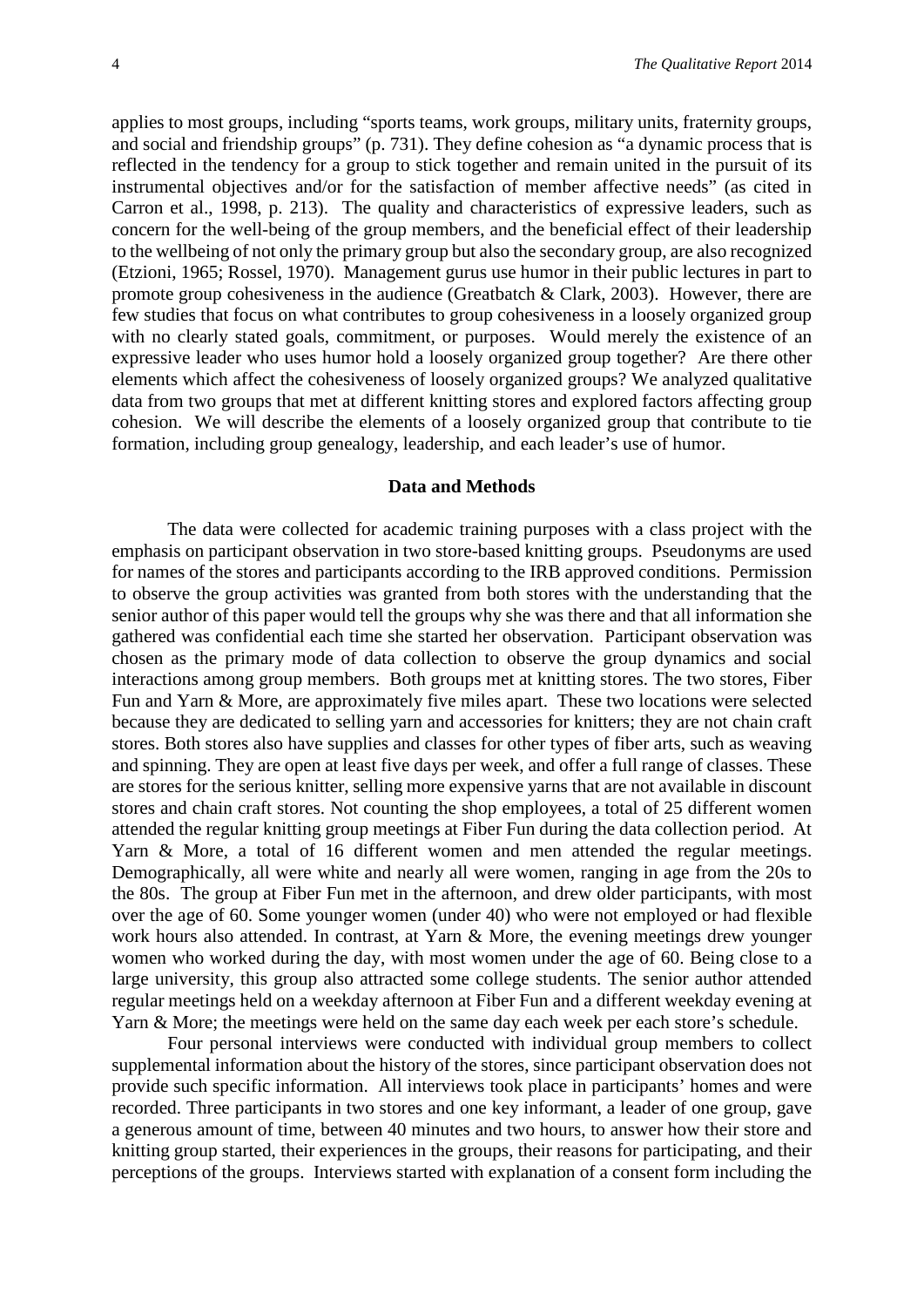applies to most groups, including "sports teams, work groups, military units, fraternity groups, and social and friendship groups" (p. 731). They define cohesion as "a dynamic process that is reflected in the tendency for a group to stick together and remain united in the pursuit of its instrumental objectives and/or for the satisfaction of member affective needs" (as cited in Carron et al., 1998, p. 213). The quality and characteristics of expressive leaders, such as concern for the well-being of the group members, and the beneficial effect of their leadership to the wellbeing of not only the primary group but also the secondary group, are also recognized (Etzioni, 1965; Rossel, 1970). Management gurus use humor in their public lectures in part to promote group cohesiveness in the audience (Greatbatch & Clark, 2003). However, there are few studies that focus on what contributes to group cohesiveness in a loosely organized group with no clearly stated goals, commitment, or purposes. Would merely the existence of an expressive leader who uses humor hold a loosely organized group together? Are there other elements which affect the cohesiveness of loosely organized groups? We analyzed qualitative data from two groups that met at different knitting stores and explored factors affecting group cohesion. We will describe the elements of a loosely organized group that contribute to tie formation, including group genealogy, leadership, and each leader's use of humor.

### **Data and Methods**

The data were collected for academic training purposes with a class project with the emphasis on participant observation in two store-based knitting groups. Pseudonyms are used for names of the stores and participants according to the IRB approved conditions. Permission to observe the group activities was granted from both stores with the understanding that the senior author of this paper would tell the groups why she was there and that all information she gathered was confidential each time she started her observation. Participant observation was chosen as the primary mode of data collection to observe the group dynamics and social interactions among group members. Both groups met at knitting stores. The two stores, Fiber Fun and Yarn & More, are approximately five miles apart. These two locations were selected because they are dedicated to selling yarn and accessories for knitters; they are not chain craft stores. Both stores also have supplies and classes for other types of fiber arts, such as weaving and spinning. They are open at least five days per week, and offer a full range of classes. These are stores for the serious knitter, selling more expensive yarns that are not available in discount stores and chain craft stores. Not counting the shop employees, a total of 25 different women attended the regular knitting group meetings at Fiber Fun during the data collection period. At Yarn & More, a total of 16 different women and men attended the regular meetings. Demographically, all were white and nearly all were women, ranging in age from the 20s to the 80s. The group at Fiber Fun met in the afternoon, and drew older participants, with most over the age of 60. Some younger women (under 40) who were not employed or had flexible work hours also attended. In contrast, at Yarn & More, the evening meetings drew younger women who worked during the day, with most women under the age of 60. Being close to a large university, this group also attracted some college students. The senior author attended regular meetings held on a weekday afternoon at Fiber Fun and a different weekday evening at Yarn & More; the meetings were held on the same day each week per each store's schedule.

Four personal interviews were conducted with individual group members to collect supplemental information about the history of the stores, since participant observation does not provide such specific information. All interviews took place in participants' homes and were recorded. Three participants in two stores and one key informant, a leader of one group, gave a generous amount of time, between 40 minutes and two hours, to answer how their store and knitting group started, their experiences in the groups, their reasons for participating, and their perceptions of the groups. Interviews started with explanation of a consent form including the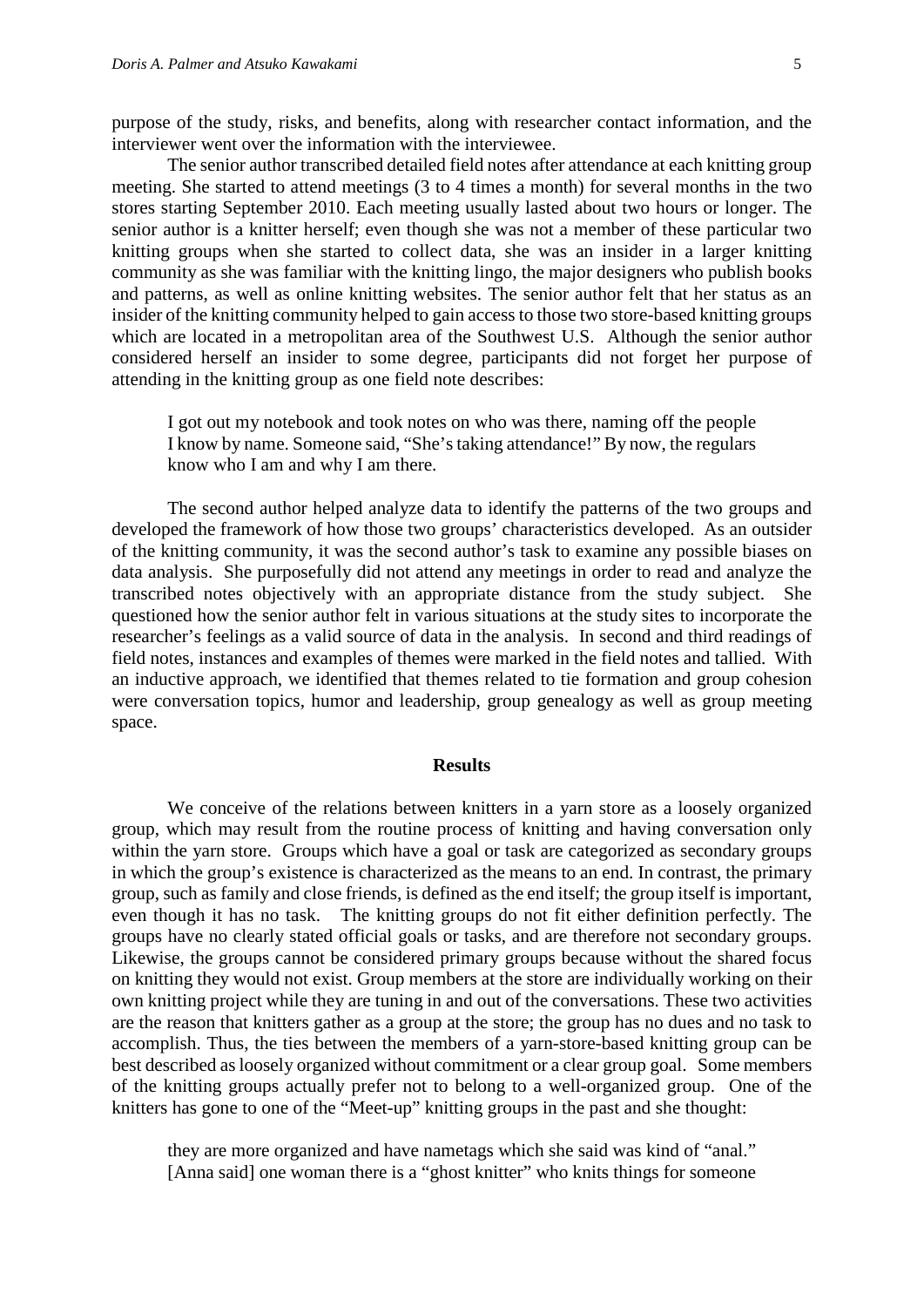purpose of the study, risks, and benefits, along with researcher contact information, and the interviewer went over the information with the interviewee.

The senior author transcribed detailed field notes after attendance at each knitting group meeting. She started to attend meetings (3 to 4 times a month) for several months in the two stores starting September 2010. Each meeting usually lasted about two hours or longer. The senior author is a knitter herself; even though she was not a member of these particular two knitting groups when she started to collect data, she was an insider in a larger knitting community as she was familiar with the knitting lingo, the major designers who publish books and patterns, as well as online knitting websites. The senior author felt that her status as an insider of the knitting community helped to gain access to those two store-based knitting groups which are located in a metropolitan area of the Southwest U.S. Although the senior author considered herself an insider to some degree, participants did not forget her purpose of attending in the knitting group as one field note describes:

I got out my notebook and took notes on who was there, naming off the people I know by name. Someone said, "She's taking attendance!" By now, the regulars know who I am and why I am there.

The second author helped analyze data to identify the patterns of the two groups and developed the framework of how those two groups' characteristics developed. As an outsider of the knitting community, it was the second author's task to examine any possible biases on data analysis. She purposefully did not attend any meetings in order to read and analyze the transcribed notes objectively with an appropriate distance from the study subject. She questioned how the senior author felt in various situations at the study sites to incorporate the researcher's feelings as a valid source of data in the analysis. In second and third readings of field notes, instances and examples of themes were marked in the field notes and tallied. With an inductive approach, we identified that themes related to tie formation and group cohesion were conversation topics, humor and leadership, group genealogy as well as group meeting space.

#### **Results**

We conceive of the relations between knitters in a yarn store as a loosely organized group, which may result from the routine process of knitting and having conversation only within the yarn store. Groups which have a goal or task are categorized as secondary groups in which the group's existence is characterized as the means to an end. In contrast, the primary group, such as family and close friends, is defined as the end itself; the group itself is important, even though it has no task. The knitting groups do not fit either definition perfectly. The groups have no clearly stated official goals or tasks, and are therefore not secondary groups. Likewise, the groups cannot be considered primary groups because without the shared focus on knitting they would not exist. Group members at the store are individually working on their own knitting project while they are tuning in and out of the conversations. These two activities are the reason that knitters gather as a group at the store; the group has no dues and no task to accomplish. Thus, the ties between the members of a yarn-store-based knitting group can be best described as loosely organized without commitment or a clear group goal. Some members of the knitting groups actually prefer not to belong to a well-organized group. One of the knitters has gone to one of the "Meet-up" knitting groups in the past and she thought:

they are more organized and have nametags which she said was kind of "anal." [Anna said] one woman there is a "ghost knitter" who knits things for someone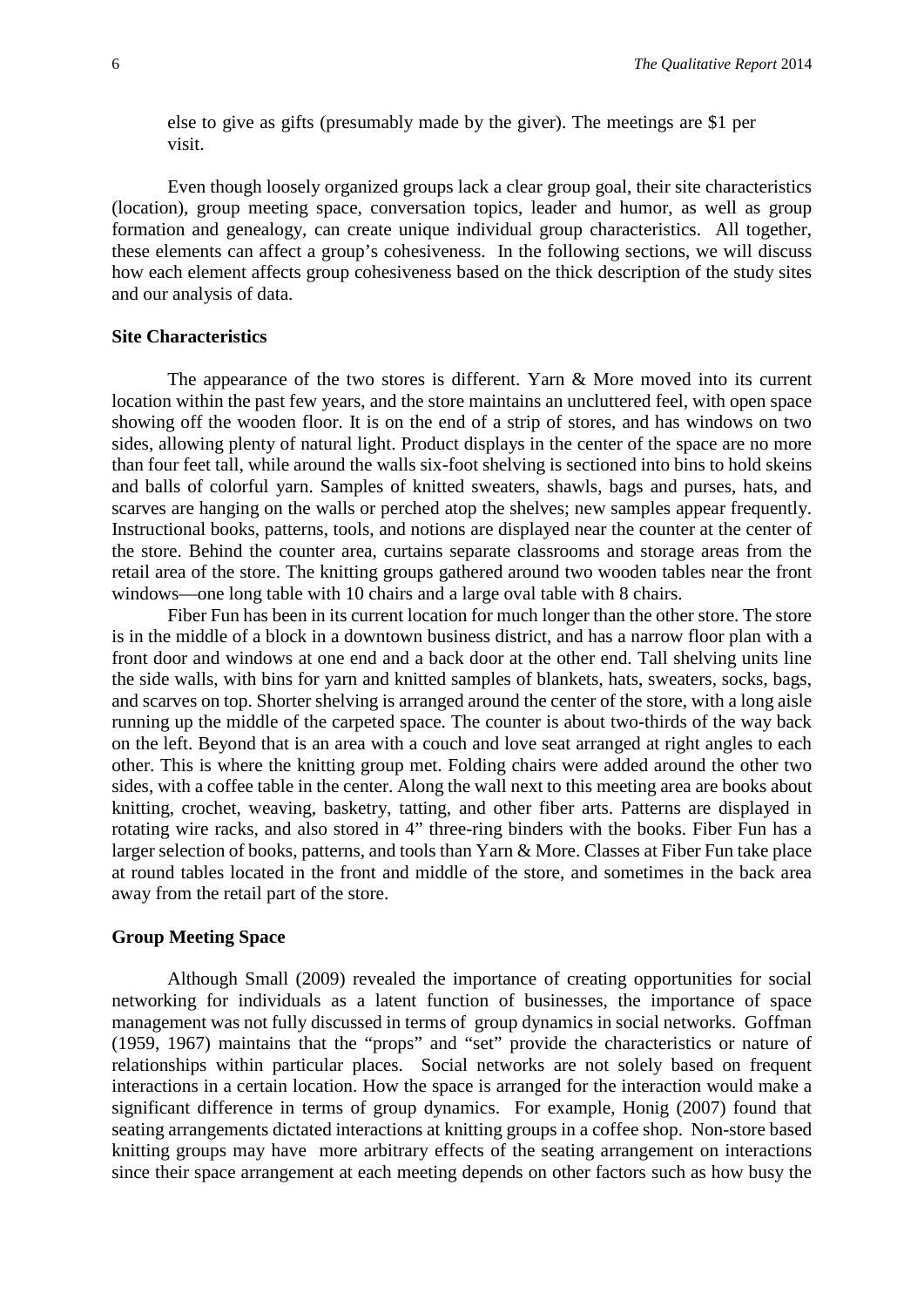else to give as gifts (presumably made by the giver). The meetings are \$1 per visit.

Even though loosely organized groups lack a clear group goal, their site characteristics (location), group meeting space, conversation topics, leader and humor, as well as group formation and genealogy, can create unique individual group characteristics. All together, these elements can affect a group's cohesiveness. In the following sections, we will discuss how each element affects group cohesiveness based on the thick description of the study sites and our analysis of data.

## **Site Characteristics**

The appearance of the two stores is different. Yarn & More moved into its current location within the past few years, and the store maintains an uncluttered feel, with open space showing off the wooden floor. It is on the end of a strip of stores, and has windows on two sides, allowing plenty of natural light. Product displays in the center of the space are no more than four feet tall, while around the walls six-foot shelving is sectioned into bins to hold skeins and balls of colorful yarn. Samples of knitted sweaters, shawls, bags and purses, hats, and scarves are hanging on the walls or perched atop the shelves; new samples appear frequently. Instructional books, patterns, tools, and notions are displayed near the counter at the center of the store. Behind the counter area, curtains separate classrooms and storage areas from the retail area of the store. The knitting groups gathered around two wooden tables near the front windows—one long table with 10 chairs and a large oval table with 8 chairs.

Fiber Fun has been in its current location for much longer than the other store. The store is in the middle of a block in a downtown business district, and has a narrow floor plan with a front door and windows at one end and a back door at the other end. Tall shelving units line the side walls, with bins for yarn and knitted samples of blankets, hats, sweaters, socks, bags, and scarves on top. Shorter shelving is arranged around the center of the store, with a long aisle running up the middle of the carpeted space. The counter is about two-thirds of the way back on the left. Beyond that is an area with a couch and love seat arranged at right angles to each other. This is where the knitting group met. Folding chairs were added around the other two sides, with a coffee table in the center. Along the wall next to this meeting area are books about knitting, crochet, weaving, basketry, tatting, and other fiber arts. Patterns are displayed in rotating wire racks, and also stored in 4" three-ring binders with the books. Fiber Fun has a larger selection of books, patterns, and tools than Yarn & More. Classes at Fiber Fun take place at round tables located in the front and middle of the store, and sometimes in the back area away from the retail part of the store.

#### **Group Meeting Space**

Although Small (2009) revealed the importance of creating opportunities for social networking for individuals as a latent function of businesses, the importance of space management was not fully discussed in terms of group dynamics in social networks. Goffman (1959, 1967) maintains that the "props" and "set" provide the characteristics or nature of relationships within particular places. Social networks are not solely based on frequent interactions in a certain location. How the space is arranged for the interaction would make a significant difference in terms of group dynamics. For example, Honig (2007) found that seating arrangements dictated interactions at knitting groups in a coffee shop. Non-store based knitting groups may have more arbitrary effects of the seating arrangement on interactions since their space arrangement at each meeting depends on other factors such as how busy the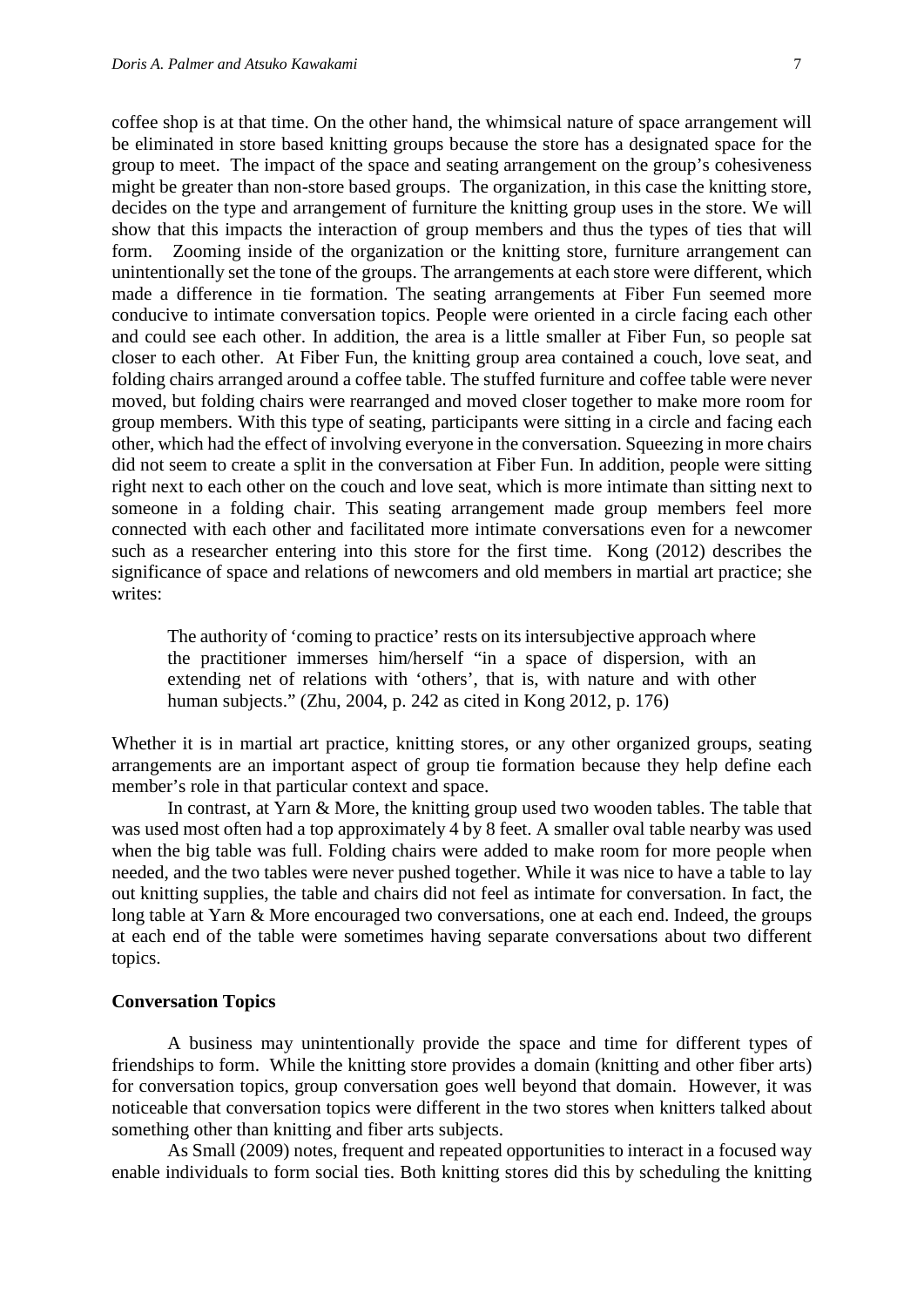coffee shop is at that time. On the other hand, the whimsical nature of space arrangement will be eliminated in store based knitting groups because the store has a designated space for the group to meet. The impact of the space and seating arrangement on the group's cohesiveness might be greater than non-store based groups. The organization, in this case the knitting store, decides on the type and arrangement of furniture the knitting group uses in the store. We will show that this impacts the interaction of group members and thus the types of ties that will form. Zooming inside of the organization or the knitting store, furniture arrangement can unintentionally set the tone of the groups. The arrangements at each store were different, which made a difference in tie formation. The seating arrangements at Fiber Fun seemed more conducive to intimate conversation topics. People were oriented in a circle facing each other and could see each other. In addition, the area is a little smaller at Fiber Fun, so people sat closer to each other. At Fiber Fun, the knitting group area contained a couch, love seat, and folding chairs arranged around a coffee table. The stuffed furniture and coffee table were never moved, but folding chairs were rearranged and moved closer together to make more room for group members. With this type of seating, participants were sitting in a circle and facing each other, which had the effect of involving everyone in the conversation. Squeezing in more chairs did not seem to create a split in the conversation at Fiber Fun. In addition, people were sitting right next to each other on the couch and love seat, which is more intimate than sitting next to someone in a folding chair. This seating arrangement made group members feel more connected with each other and facilitated more intimate conversations even for a newcomer such as a researcher entering into this store for the first time. Kong (2012) describes the significance of space and relations of newcomers and old members in martial art practice; she writes:

The authority of 'coming to practice' rests on its intersubjective approach where the practitioner immerses him/herself "in a space of dispersion, with an extending net of relations with 'others', that is, with nature and with other human subjects." (Zhu, 2004, p. 242 as cited in Kong 2012, p. 176)

Whether it is in martial art practice, knitting stores, or any other organized groups, seating arrangements are an important aspect of group tie formation because they help define each member's role in that particular context and space.

In contrast, at Yarn & More, the knitting group used two wooden tables. The table that was used most often had a top approximately 4 by 8 feet. A smaller oval table nearby was used when the big table was full. Folding chairs were added to make room for more people when needed, and the two tables were never pushed together. While it was nice to have a table to lay out knitting supplies, the table and chairs did not feel as intimate for conversation. In fact, the long table at Yarn & More encouraged two conversations, one at each end. Indeed, the groups at each end of the table were sometimes having separate conversations about two different topics.

## **Conversation Topics**

A business may unintentionally provide the space and time for different types of friendships to form. While the knitting store provides a domain (knitting and other fiber arts) for conversation topics, group conversation goes well beyond that domain. However, it was noticeable that conversation topics were different in the two stores when knitters talked about something other than knitting and fiber arts subjects.

As Small (2009) notes, frequent and repeated opportunities to interact in a focused way enable individuals to form social ties. Both knitting stores did this by scheduling the knitting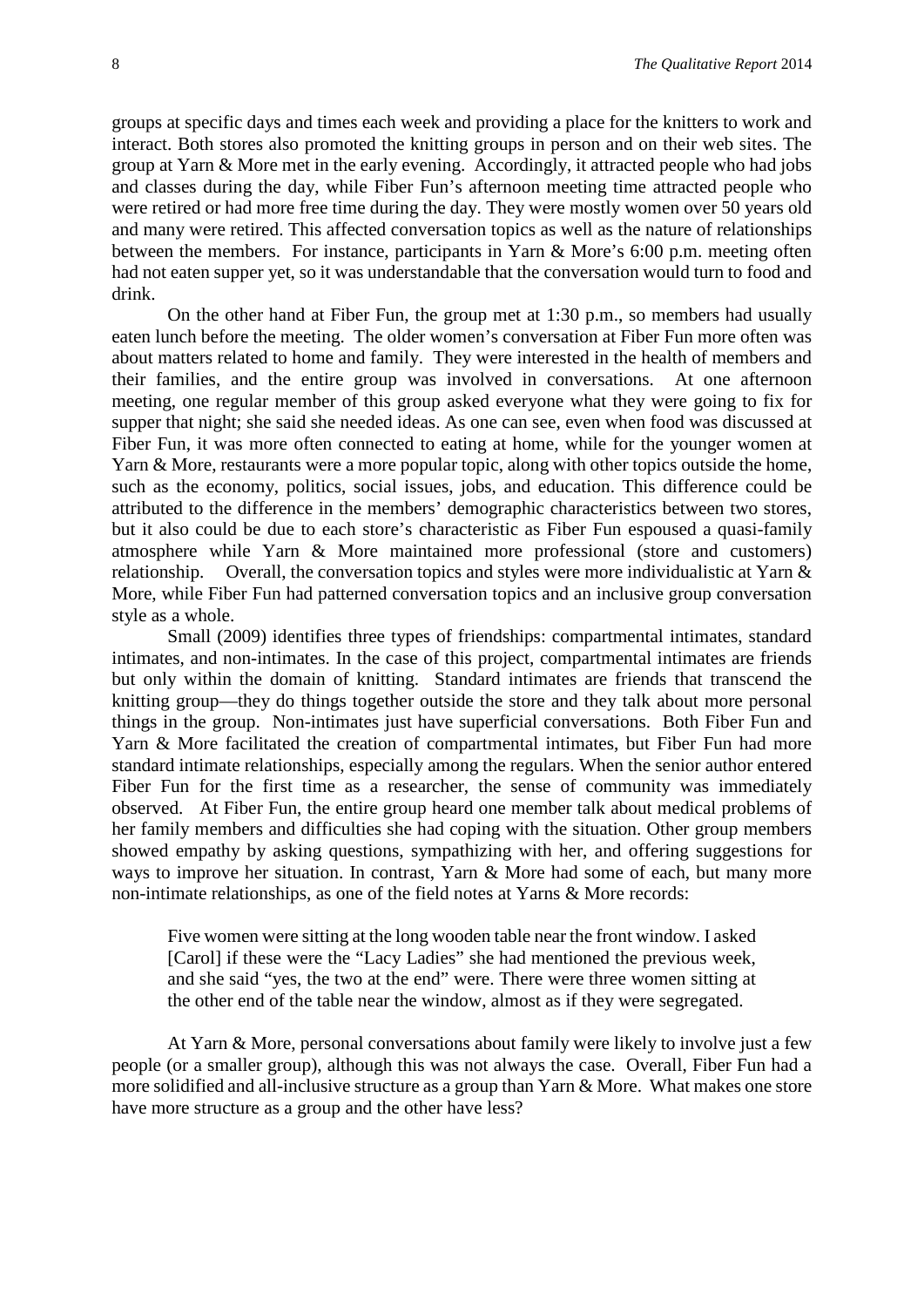groups at specific days and times each week and providing a place for the knitters to work and interact. Both stores also promoted the knitting groups in person and on their web sites. The group at Yarn & More met in the early evening. Accordingly, it attracted people who had jobs and classes during the day, while Fiber Fun's afternoon meeting time attracted people who were retired or had more free time during the day. They were mostly women over 50 years old and many were retired. This affected conversation topics as well as the nature of relationships between the members. For instance, participants in Yarn & More's 6:00 p.m. meeting often had not eaten supper yet, so it was understandable that the conversation would turn to food and drink.

On the other hand at Fiber Fun, the group met at 1:30 p.m., so members had usually eaten lunch before the meeting. The older women's conversation at Fiber Fun more often was about matters related to home and family. They were interested in the health of members and their families, and the entire group was involved in conversations. At one afternoon meeting, one regular member of this group asked everyone what they were going to fix for supper that night; she said she needed ideas. As one can see, even when food was discussed at Fiber Fun, it was more often connected to eating at home, while for the younger women at Yarn & More, restaurants were a more popular topic, along with other topics outside the home, such as the economy, politics, social issues, jobs, and education. This difference could be attributed to the difference in the members' demographic characteristics between two stores, but it also could be due to each store's characteristic as Fiber Fun espoused a quasi-family atmosphere while Yarn & More maintained more professional (store and customers) relationship. Overall, the conversation topics and styles were more individualistic at Yarn & More, while Fiber Fun had patterned conversation topics and an inclusive group conversation style as a whole.

Small (2009) identifies three types of friendships: compartmental intimates, standard intimates, and non-intimates. In the case of this project, compartmental intimates are friends but only within the domain of knitting. Standard intimates are friends that transcend the knitting group—they do things together outside the store and they talk about more personal things in the group. Non-intimates just have superficial conversations. Both Fiber Fun and Yarn & More facilitated the creation of compartmental intimates, but Fiber Fun had more standard intimate relationships, especially among the regulars. When the senior author entered Fiber Fun for the first time as a researcher, the sense of community was immediately observed. At Fiber Fun, the entire group heard one member talk about medical problems of her family members and difficulties she had coping with the situation. Other group members showed empathy by asking questions, sympathizing with her, and offering suggestions for ways to improve her situation. In contrast, Yarn & More had some of each, but many more non-intimate relationships, as one of the field notes at Yarns & More records:

Five women were sitting at the long wooden table near the front window. I asked [Carol] if these were the "Lacy Ladies" she had mentioned the previous week, and she said "yes, the two at the end" were. There were three women sitting at the other end of the table near the window, almost as if they were segregated.

At Yarn & More, personal conversations about family were likely to involve just a few people (or a smaller group), although this was not always the case. Overall, Fiber Fun had a more solidified and all-inclusive structure as a group than Yarn & More. What makes one store have more structure as a group and the other have less?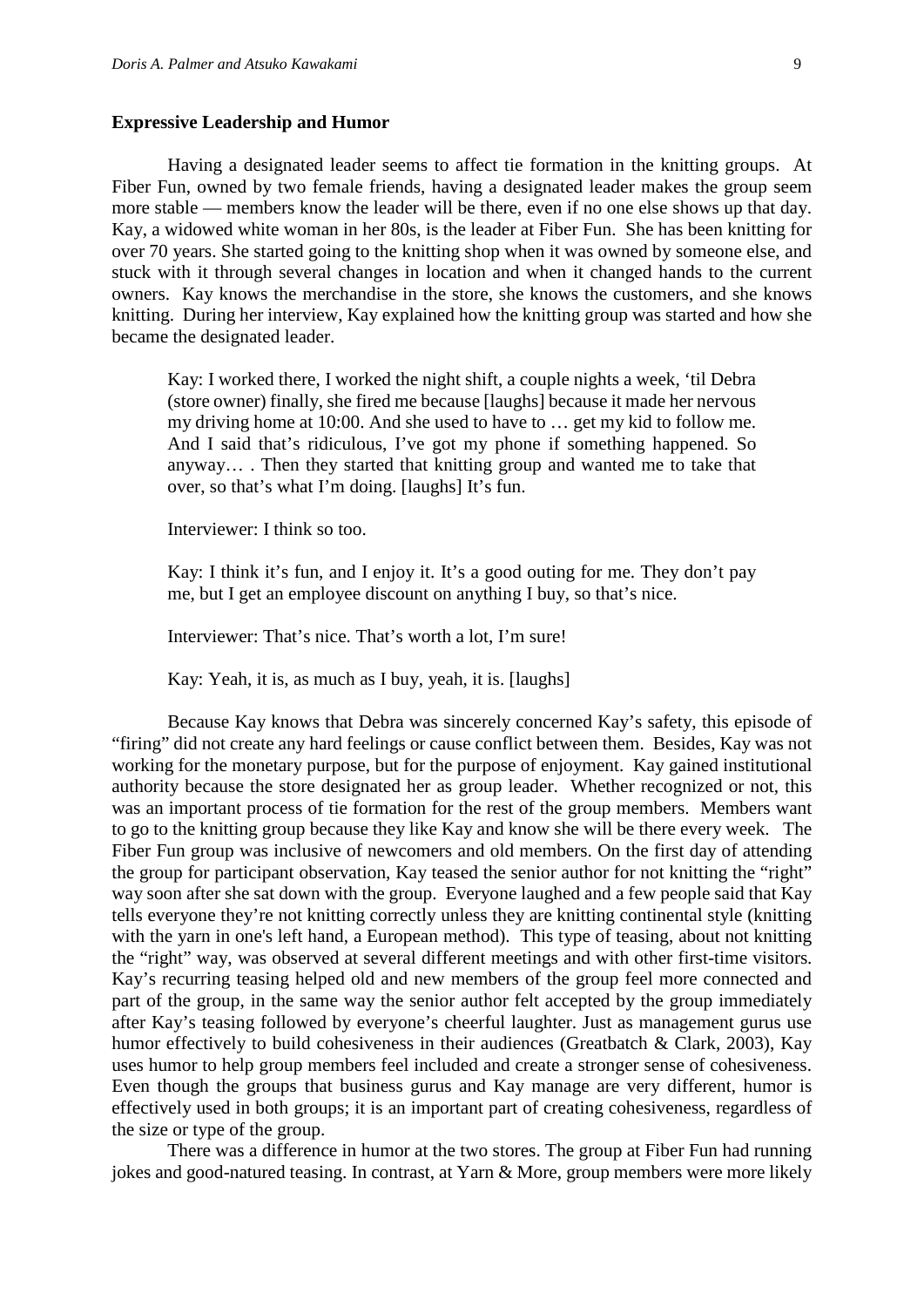#### **Expressive Leadership and Humor**

Having a designated leader seems to affect tie formation in the knitting groups. At Fiber Fun, owned by two female friends, having a designated leader makes the group seem more stable — members know the leader will be there, even if no one else shows up that day. Kay, a widowed white woman in her 80s, is the leader at Fiber Fun. She has been knitting for over 70 years. She started going to the knitting shop when it was owned by someone else, and stuck with it through several changes in location and when it changed hands to the current owners. Kay knows the merchandise in the store, she knows the customers, and she knows knitting. During her interview, Kay explained how the knitting group was started and how she became the designated leader.

Kay: I worked there, I worked the night shift, a couple nights a week, 'til Debra (store owner) finally, she fired me because [laughs] because it made her nervous my driving home at 10:00. And she used to have to … get my kid to follow me. And I said that's ridiculous, I've got my phone if something happened. So anyway… . Then they started that knitting group and wanted me to take that over, so that's what I'm doing. [laughs] It's fun.

Interviewer: I think so too.

Kay: I think it's fun, and I enjoy it. It's a good outing for me. They don't pay me, but I get an employee discount on anything I buy, so that's nice.

Interviewer: That's nice. That's worth a lot, I'm sure!

Kay: Yeah, it is, as much as I buy, yeah, it is. [laughs]

Because Kay knows that Debra was sincerely concerned Kay's safety, this episode of "firing" did not create any hard feelings or cause conflict between them. Besides, Kay was not working for the monetary purpose, but for the purpose of enjoyment. Kay gained institutional authority because the store designated her as group leader. Whether recognized or not, this was an important process of tie formation for the rest of the group members. Members want to go to the knitting group because they like Kay and know she will be there every week. The Fiber Fun group was inclusive of newcomers and old members. On the first day of attending the group for participant observation, Kay teased the senior author for not knitting the "right" way soon after she sat down with the group. Everyone laughed and a few people said that Kay tells everyone they're not knitting correctly unless they are knitting continental style (knitting with the yarn in one's left hand, a European method). This type of teasing, about not knitting the "right" way, was observed at several different meetings and with other first-time visitors. Kay's recurring teasing helped old and new members of the group feel more connected and part of the group, in the same way the senior author felt accepted by the group immediately after Kay's teasing followed by everyone's cheerful laughter. Just as management gurus use humor effectively to build cohesiveness in their audiences (Greatbatch & Clark, 2003), Kay uses humor to help group members feel included and create a stronger sense of cohesiveness. Even though the groups that business gurus and Kay manage are very different, humor is effectively used in both groups; it is an important part of creating cohesiveness, regardless of the size or type of the group.

There was a difference in humor at the two stores. The group at Fiber Fun had running jokes and good-natured teasing. In contrast, at Yarn & More, group members were more likely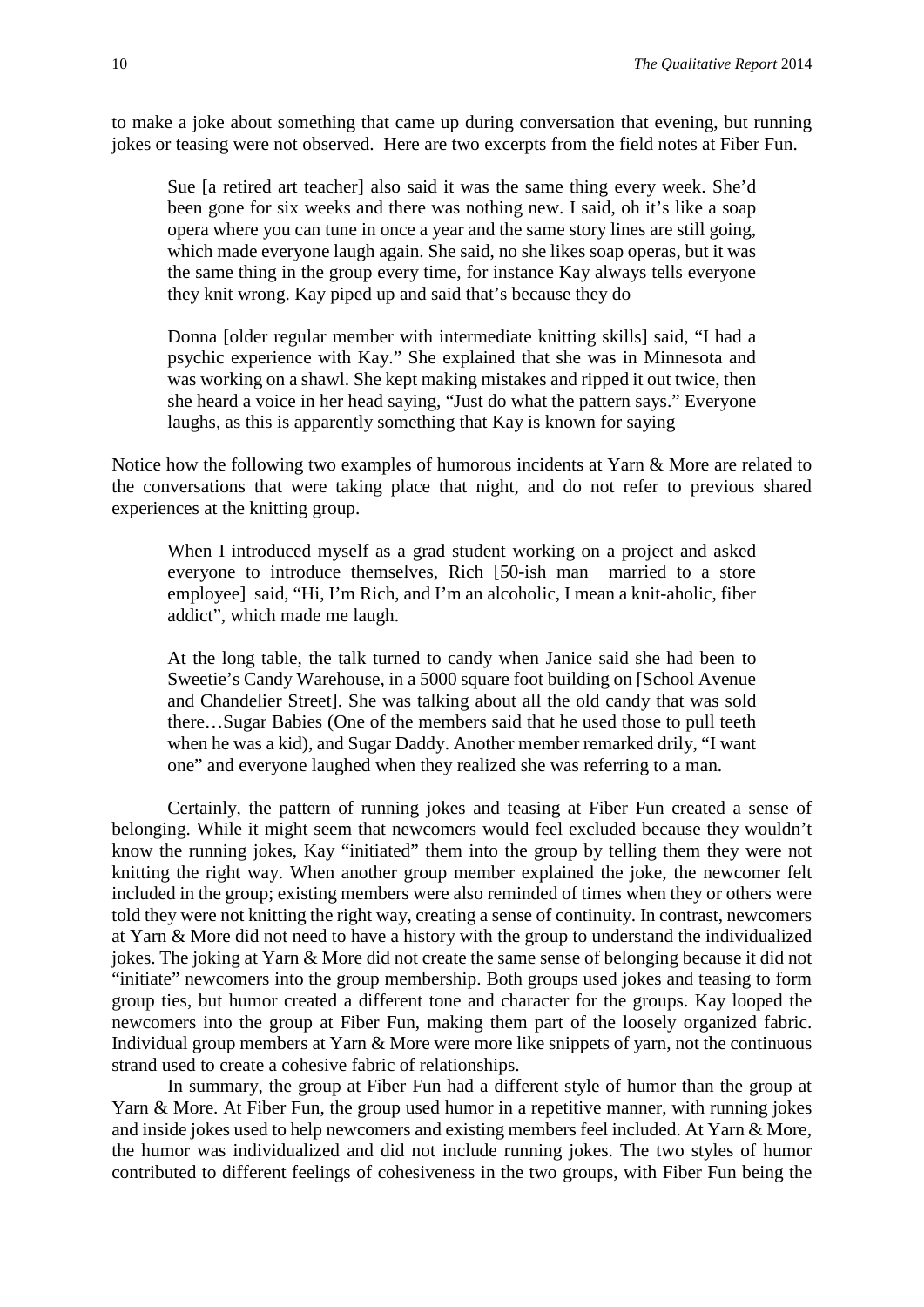to make a joke about something that came up during conversation that evening, but running jokes or teasing were not observed. Here are two excerpts from the field notes at Fiber Fun.

Sue [a retired art teacher] also said it was the same thing every week. She'd been gone for six weeks and there was nothing new. I said, oh it's like a soap opera where you can tune in once a year and the same story lines are still going, which made everyone laugh again. She said, no she likes soap operas, but it was the same thing in the group every time, for instance Kay always tells everyone they knit wrong. Kay piped up and said that's because they do

Donna [older regular member with intermediate knitting skills] said, "I had a psychic experience with Kay." She explained that she was in Minnesota and was working on a shawl. She kept making mistakes and ripped it out twice, then she heard a voice in her head saying, "Just do what the pattern says." Everyone laughs, as this is apparently something that Kay is known for saying

Notice how the following two examples of humorous incidents at Yarn & More are related to the conversations that were taking place that night, and do not refer to previous shared experiences at the knitting group.

When I introduced myself as a grad student working on a project and asked everyone to introduce themselves, Rich [50-ish man married to a store employee] said, "Hi, I'm Rich, and I'm an alcoholic, I mean a knit-aholic, fiber addict", which made me laugh.

At the long table, the talk turned to candy when Janice said she had been to Sweetie's Candy Warehouse, in a 5000 square foot building on [School Avenue and Chandelier Street]. She was talking about all the old candy that was sold there…Sugar Babies (One of the members said that he used those to pull teeth when he was a kid), and Sugar Daddy. Another member remarked drily, "I want one" and everyone laughed when they realized she was referring to a man.

Certainly, the pattern of running jokes and teasing at Fiber Fun created a sense of belonging. While it might seem that newcomers would feel excluded because they wouldn't know the running jokes, Kay "initiated" them into the group by telling them they were not knitting the right way. When another group member explained the joke, the newcomer felt included in the group; existing members were also reminded of times when they or others were told they were not knitting the right way, creating a sense of continuity. In contrast, newcomers at Yarn & More did not need to have a history with the group to understand the individualized jokes. The joking at Yarn & More did not create the same sense of belonging because it did not "initiate" newcomers into the group membership. Both groups used jokes and teasing to form group ties, but humor created a different tone and character for the groups. Kay looped the newcomers into the group at Fiber Fun, making them part of the loosely organized fabric. Individual group members at Yarn & More were more like snippets of yarn, not the continuous strand used to create a cohesive fabric of relationships.

In summary, the group at Fiber Fun had a different style of humor than the group at Yarn & More. At Fiber Fun, the group used humor in a repetitive manner, with running jokes and inside jokes used to help newcomers and existing members feel included. At Yarn & More, the humor was individualized and did not include running jokes. The two styles of humor contributed to different feelings of cohesiveness in the two groups, with Fiber Fun being the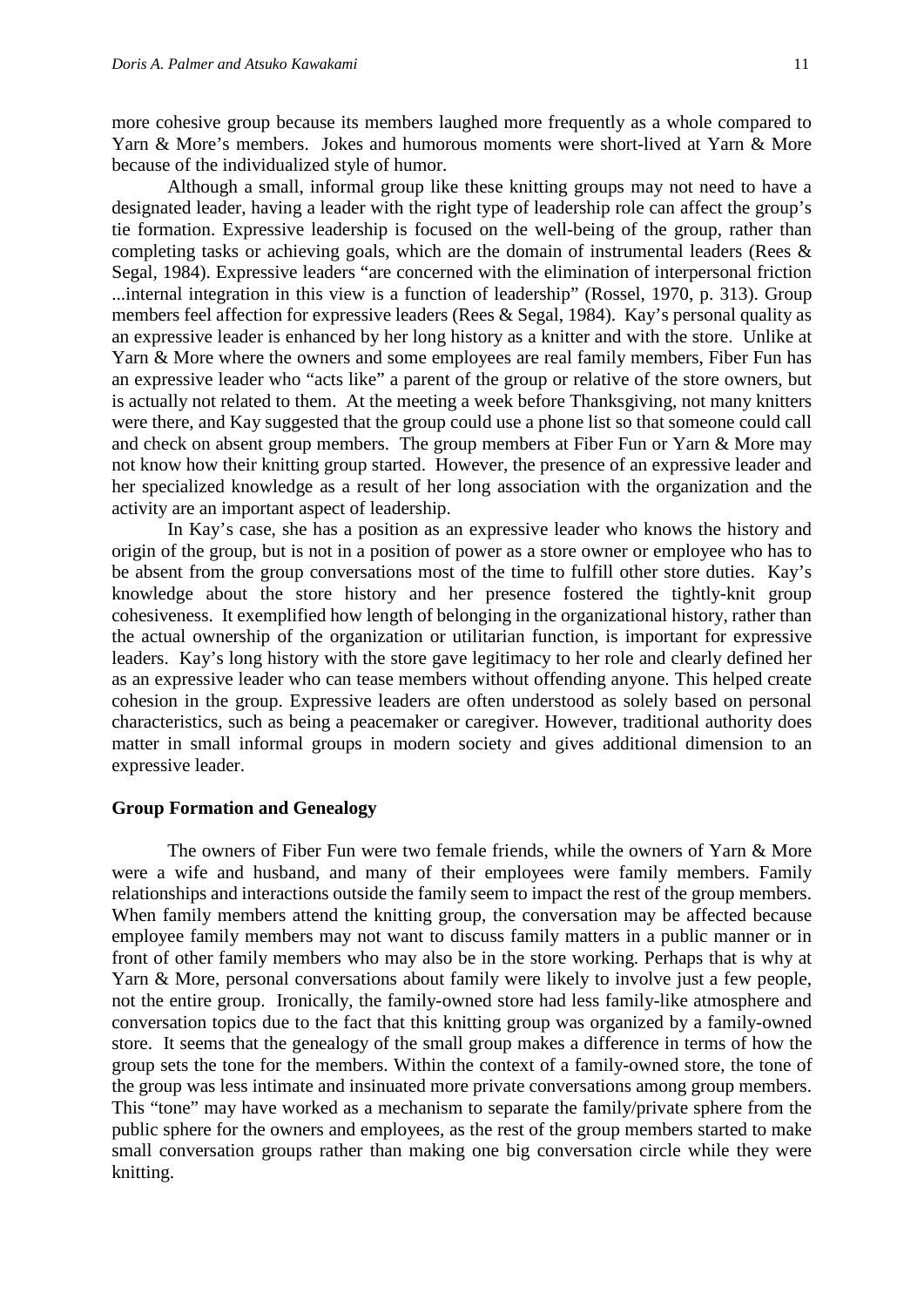more cohesive group because its members laughed more frequently as a whole compared to Yarn & More's members. Jokes and humorous moments were short-lived at Yarn & More because of the individualized style of humor.

Although a small, informal group like these knitting groups may not need to have a designated leader, having a leader with the right type of leadership role can affect the group's tie formation. Expressive leadership is focused on the well-being of the group, rather than completing tasks or achieving goals, which are the domain of instrumental leaders (Rees & Segal, 1984). Expressive leaders "are concerned with the elimination of interpersonal friction ...internal integration in this view is a function of leadership" (Rossel, 1970, p. 313). Group members feel affection for expressive leaders (Rees & Segal, 1984). Kay's personal quality as an expressive leader is enhanced by her long history as a knitter and with the store. Unlike at Yarn & More where the owners and some employees are real family members, Fiber Fun has an expressive leader who "acts like" a parent of the group or relative of the store owners, but is actually not related to them. At the meeting a week before Thanksgiving, not many knitters were there, and Kay suggested that the group could use a phone list so that someone could call and check on absent group members. The group members at Fiber Fun or Yarn & More may not know how their knitting group started. However, the presence of an expressive leader and her specialized knowledge as a result of her long association with the organization and the activity are an important aspect of leadership.

In Kay's case, she has a position as an expressive leader who knows the history and origin of the group, but is not in a position of power as a store owner or employee who has to be absent from the group conversations most of the time to fulfill other store duties. Kay's knowledge about the store history and her presence fostered the tightly-knit group cohesiveness. It exemplified how length of belonging in the organizational history, rather than the actual ownership of the organization or utilitarian function, is important for expressive leaders. Kay's long history with the store gave legitimacy to her role and clearly defined her as an expressive leader who can tease members without offending anyone. This helped create cohesion in the group. Expressive leaders are often understood as solely based on personal characteristics, such as being a peacemaker or caregiver. However, traditional authority does matter in small informal groups in modern society and gives additional dimension to an expressive leader.

## **Group Formation and Genealogy**

The owners of Fiber Fun were two female friends, while the owners of Yarn & More were a wife and husband, and many of their employees were family members. Family relationships and interactions outside the family seem to impact the rest of the group members. When family members attend the knitting group, the conversation may be affected because employee family members may not want to discuss family matters in a public manner or in front of other family members who may also be in the store working. Perhaps that is why at Yarn & More, personal conversations about family were likely to involve just a few people, not the entire group. Ironically, the family-owned store had less family-like atmosphere and conversation topics due to the fact that this knitting group was organized by a family-owned store. It seems that the genealogy of the small group makes a difference in terms of how the group sets the tone for the members. Within the context of a family-owned store, the tone of the group was less intimate and insinuated more private conversations among group members. This "tone" may have worked as a mechanism to separate the family/private sphere from the public sphere for the owners and employees, as the rest of the group members started to make small conversation groups rather than making one big conversation circle while they were knitting.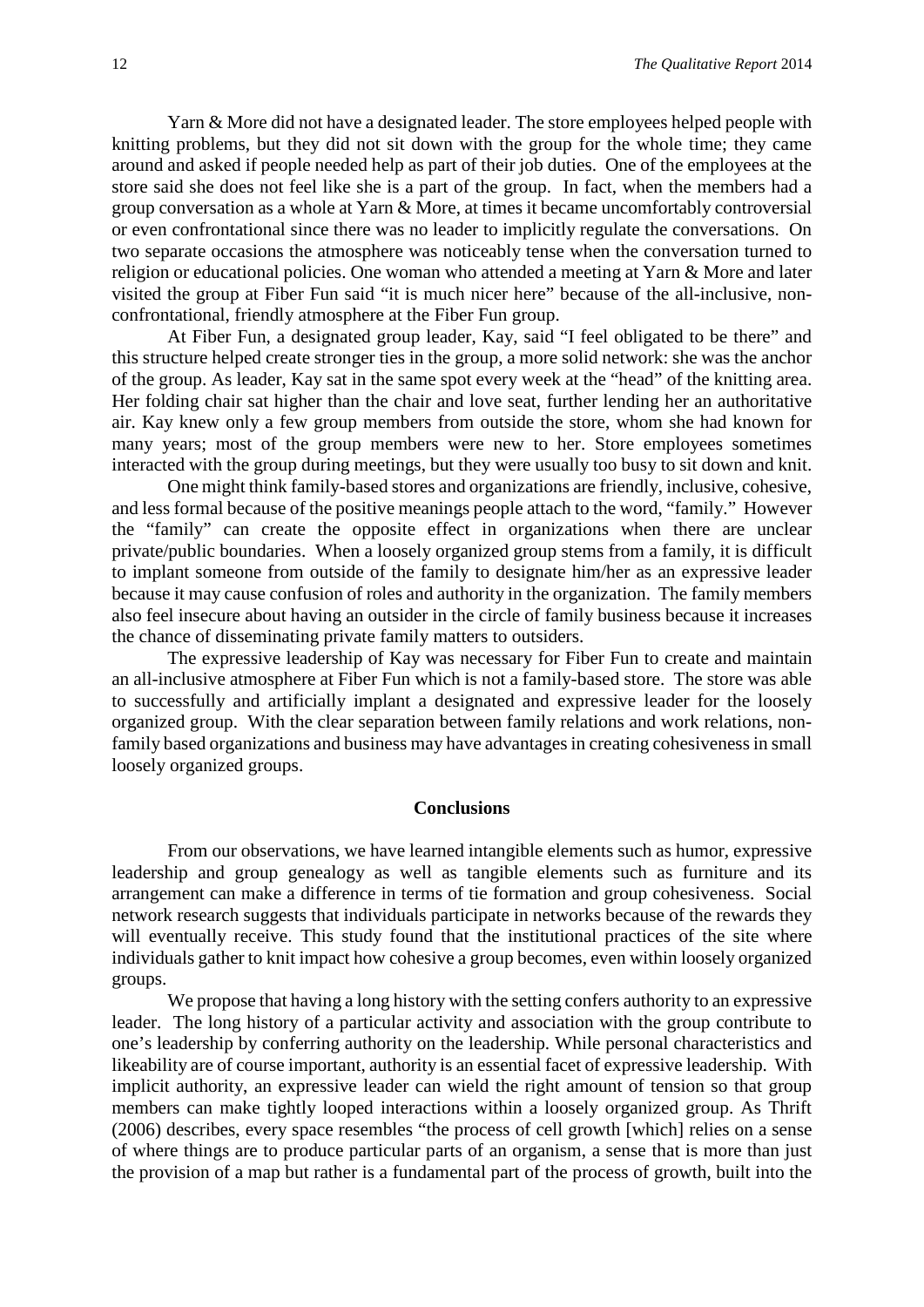Yarn & More did not have a designated leader. The store employees helped people with knitting problems, but they did not sit down with the group for the whole time; they came around and asked if people needed help as part of their job duties. One of the employees at the store said she does not feel like she is a part of the group. In fact, when the members had a group conversation as a whole at Yarn & More, at times it became uncomfortably controversial or even confrontational since there was no leader to implicitly regulate the conversations. On two separate occasions the atmosphere was noticeably tense when the conversation turned to religion or educational policies. One woman who attended a meeting at Yarn & More and later visited the group at Fiber Fun said "it is much nicer here" because of the all-inclusive, nonconfrontational, friendly atmosphere at the Fiber Fun group.

At Fiber Fun, a designated group leader, Kay, said "I feel obligated to be there" and this structure helped create stronger ties in the group, a more solid network: she was the anchor of the group. As leader, Kay sat in the same spot every week at the "head" of the knitting area. Her folding chair sat higher than the chair and love seat, further lending her an authoritative air. Kay knew only a few group members from outside the store, whom she had known for many years; most of the group members were new to her. Store employees sometimes interacted with the group during meetings, but they were usually too busy to sit down and knit.

One might think family-based stores and organizations are friendly, inclusive, cohesive, and less formal because of the positive meanings people attach to the word, "family." However the "family" can create the opposite effect in organizations when there are unclear private/public boundaries. When a loosely organized group stems from a family, it is difficult to implant someone from outside of the family to designate him/her as an expressive leader because it may cause confusion of roles and authority in the organization. The family members also feel insecure about having an outsider in the circle of family business because it increases the chance of disseminating private family matters to outsiders.

The expressive leadership of Kay was necessary for Fiber Fun to create and maintain an all-inclusive atmosphere at Fiber Fun which is not a family-based store. The store was able to successfully and artificially implant a designated and expressive leader for the loosely organized group. With the clear separation between family relations and work relations, nonfamily based organizations and business may have advantages in creating cohesiveness in small loosely organized groups.

## **Conclusions**

From our observations, we have learned intangible elements such as humor, expressive leadership and group genealogy as well as tangible elements such as furniture and its arrangement can make a difference in terms of tie formation and group cohesiveness. Social network research suggests that individuals participate in networks because of the rewards they will eventually receive. This study found that the institutional practices of the site where individuals gather to knit impact how cohesive a group becomes, even within loosely organized groups.

We propose that having a long history with the setting confers authority to an expressive leader. The long history of a particular activity and association with the group contribute to one's leadership by conferring authority on the leadership. While personal characteristics and likeability are of course important, authority is an essential facet of expressive leadership. With implicit authority, an expressive leader can wield the right amount of tension so that group members can make tightly looped interactions within a loosely organized group. As Thrift (2006) describes, every space resembles "the process of cell growth [which] relies on a sense of where things are to produce particular parts of an organism, a sense that is more than just the provision of a map but rather is a fundamental part of the process of growth, built into the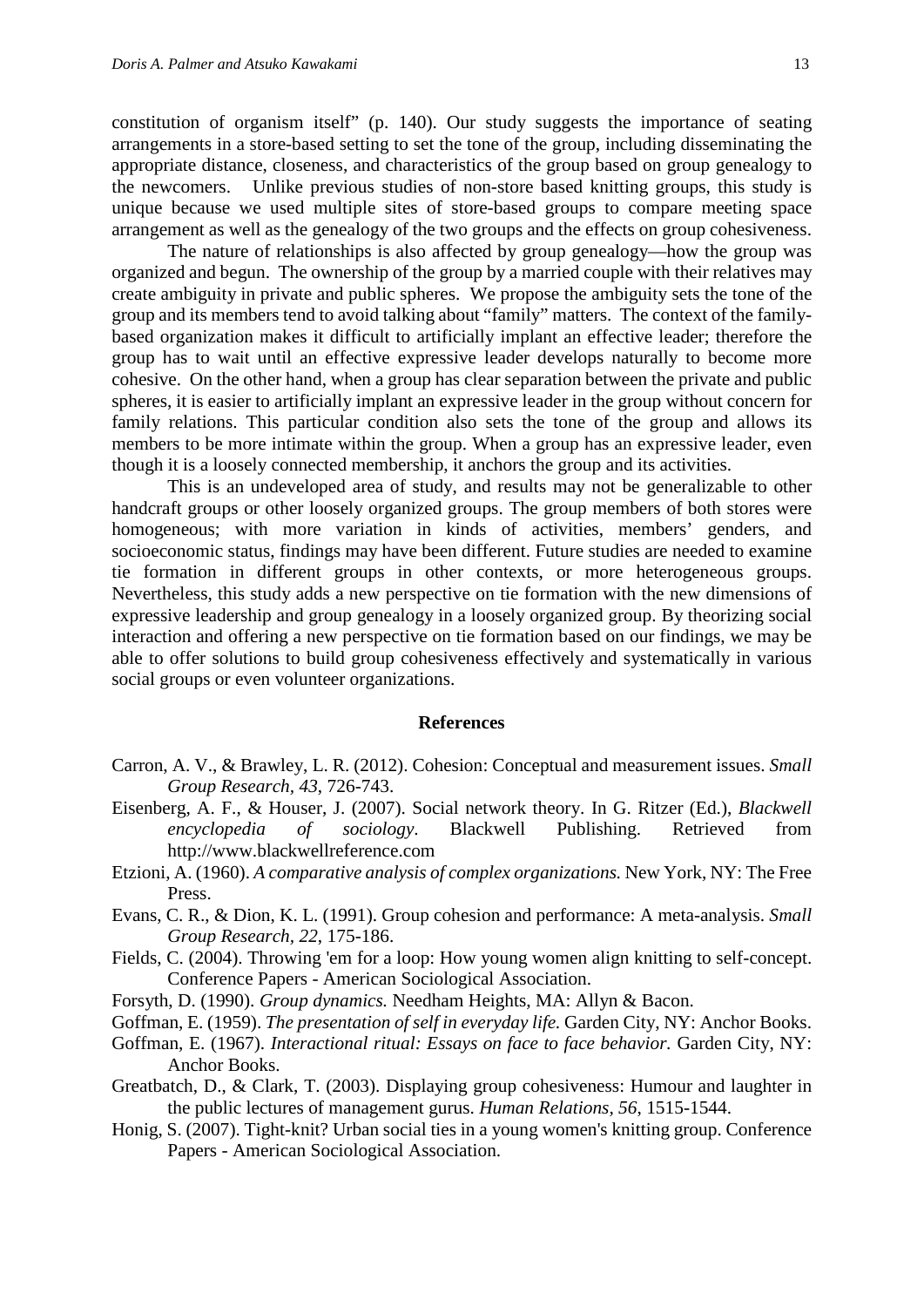constitution of organism itself" (p. 140). Our study suggests the importance of seating arrangements in a store-based setting to set the tone of the group, including disseminating the appropriate distance, closeness, and characteristics of the group based on group genealogy to the newcomers. Unlike previous studies of non-store based knitting groups, this study is unique because we used multiple sites of store-based groups to compare meeting space arrangement as well as the genealogy of the two groups and the effects on group cohesiveness.

The nature of relationships is also affected by group genealogy—how the group was organized and begun. The ownership of the group by a married couple with their relatives may create ambiguity in private and public spheres. We propose the ambiguity sets the tone of the group and its members tend to avoid talking about "family" matters. The context of the familybased organization makes it difficult to artificially implant an effective leader; therefore the group has to wait until an effective expressive leader develops naturally to become more cohesive. On the other hand, when a group has clear separation between the private and public spheres, it is easier to artificially implant an expressive leader in the group without concern for family relations. This particular condition also sets the tone of the group and allows its members to be more intimate within the group. When a group has an expressive leader, even though it is a loosely connected membership, it anchors the group and its activities.

This is an undeveloped area of study, and results may not be generalizable to other handcraft groups or other loosely organized groups. The group members of both stores were homogeneous; with more variation in kinds of activities, members' genders, and socioeconomic status, findings may have been different. Future studies are needed to examine tie formation in different groups in other contexts, or more heterogeneous groups. Nevertheless, this study adds a new perspective on tie formation with the new dimensions of expressive leadership and group genealogy in a loosely organized group. By theorizing social interaction and offering a new perspective on tie formation based on our findings, we may be able to offer solutions to build group cohesiveness effectively and systematically in various social groups or even volunteer organizations.

#### **References**

- Carron, A. V., & Brawley, L. R. (2012). Cohesion: Conceptual and measurement issues. *Small Group Research, 43*, 726-743.
- Eisenberg, A. F., & Houser, J. (2007). Social network theory. In G. Ritzer (Ed.), *Blackwell encyclopedia of sociology*. Blackwell Publishing. Retrieved from http://www.blackwellreference.com
- Etzioni, A. (1960). *A comparative analysis of complex organizations.* New York, NY: The Free Press.
- Evans, C. R., & Dion, K. L. (1991). Group cohesion and performance: A meta-analysis. *Small Group Research, 22*, 175-186.
- Fields, C. (2004). Throwing 'em for a loop: How young women align knitting to self-concept. Conference Papers - American Sociological Association.
- Forsyth, D. (1990). *Group dynamics.* Needham Heights, MA: Allyn & Bacon.
- Goffman, E. (1959). *The presentation of self in everyday life.* Garden City, NY: Anchor Books.
- Goffman, E. (1967). *Interactional ritual: Essays on face to face behavior.* Garden City, NY: Anchor Books.
- Greatbatch, D., & Clark, T. (2003). Displaying group cohesiveness: Humour and laughter in the public lectures of management gurus. *Human Relations, 56*, 1515-1544.
- Honig, S. (2007). Tight-knit? Urban social ties in a young women's knitting group. Conference Papers - American Sociological Association.